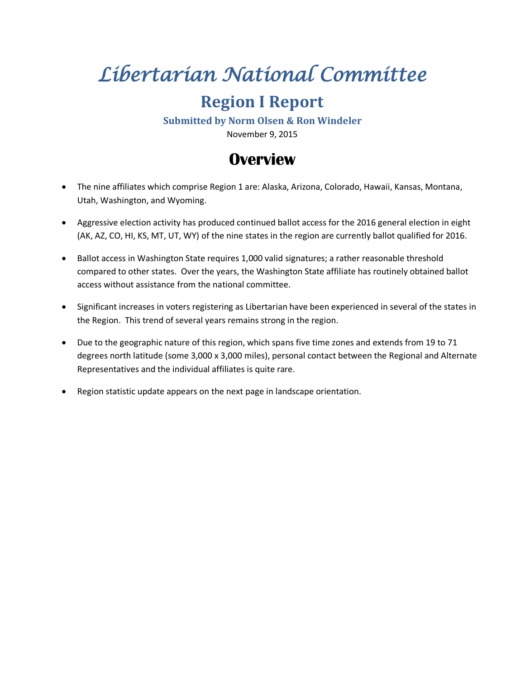# *Libertarian National Committee*

# **Region I Report**

**Submitted by Norm Olsen & Ron Windeler**

November 9, 2015

## **Overview**

- The nine affiliates which comprise Region 1 are: Alaska, Arizona, Colorado, Hawaii, Kansas, Montana, Utah, Washington, and Wyoming.
- Aggressive election activity has produced continued ballot access for the 2016 general election in eight (AK, AZ, CO, HI, KS, MT, UT, WY) of the nine states in the region are currently ballot qualified for 2016.
- Ballot access in Washington State requires 1,000 valid signatures; a rather reasonable threshold compared to other states. Over the years, the Washington State affiliate has routinely obtained ballot access without assistance from the national committee.
- Significant increases in voters registering as Libertarian have been experienced in several of the states in the Region. This trend of several years remains strong in the region.
- Due to the geographic nature of this region, which spans five time zones and extends from 19 to 71 degrees north latitude (some 3,000 x 3,000 miles), personal contact between the Regional and Alternate Representatives and the individual affiliates is quite rare.
- Region statistic update appears on the next page in landscape orientation.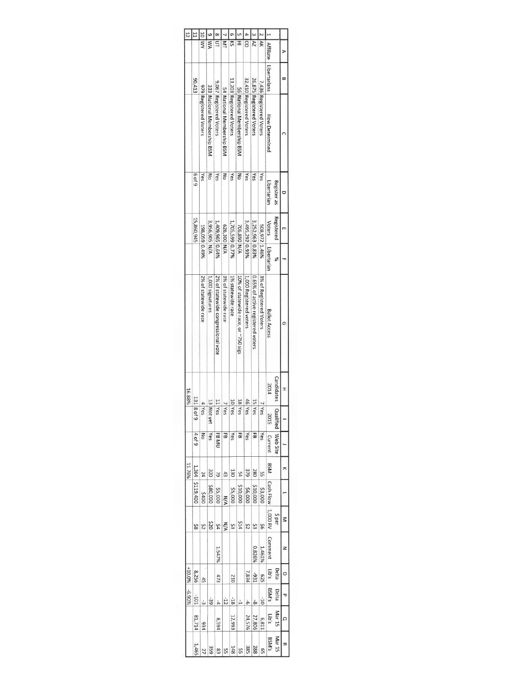| JO MY<br><b>NA</b><br>$\overline{\mathsf{c}}$<br>≅<br>₹<br>$\overline{\mathsf{z}}$<br>I<br>$\overline{c}$<br>$\overline{\mathcal{X}}$<br><b>Affiliate</b><br>D<br>Libertarians<br>$\Xi$<br>80,413<br>32,410 Registered Voters<br>13,203 Registered Voters<br>26,875 Registered Voters<br>9,067 Registered Voters<br>7,436 Registered Voters<br>979 Registered Voters<br>333 National Membership BSM<br>54 National Membership BSM<br>56 National Membership BSM<br><b>How Determined</b><br><b>649</b><br>g<br>Yes<br>ξ<br>Yes<br>mo<br>Yes<br>Yes<br>Yes<br>Yes<br>Libertarian<br>Register as<br>U<br>Registered<br>15,860,945<br>3,956,905 N/A<br>3,252,963 0.83%<br>3,495,292 0.93%<br>1,409,965 0.64%<br>1,705,599 0.77%<br>Voters<br>626,300 N/A<br>508,972 1.46%<br>706,890 N/A<br>198,059 0.49%<br>m<br>Libertarian<br>$\%$<br>3% of statewide race<br>0.65% of active registered voters<br>3% of Registered Voters<br>1% statewide race<br>2% of statewide congressional vote<br>10% of statewide race, or ~750 sigs<br>1,000 Registered voters<br>2% of statewide race<br>1,000 signatures<br><b>Ballot Access</b><br>G<br>Candidates<br>2014 | 16.88%<br>131 8<br>46 Yes<br>13 Not yet<br>11 Yes<br>10 Yes<br>18 Yes<br>15 Yes<br>$4$ Yes<br>$7$ Yes<br>7 Yes<br>6 <sub>4</sub><br>2015 | lualified   Web Site<br>4 of 9<br>Yes<br>Yes<br>69<br>Yes<br>Yes<br>FB <sub>MU</sub><br>EB<br>5<br>š<br>Current | BSM<br>11.76%<br>1,364<br><b>979</b><br>320<br>130<br>280<br>S<br>24<br>44<br>43<br>64 | \$119,400<br>\$10,000<br>\$10,000<br>\$80,000<br>\$3,000<br>\$5,000<br>\$6,000<br>\$5,000<br>00t\$<br>N/A | Cash Flow   1,000 RV<br>\$ per<br>0Z\$<br><b>ALS</b><br><b>N/A</b><br>54<br>Ş3<br>9\$<br>25<br>52<br>ξŞ<br>8\$ | <b>Comment</b><br>$0.826\%$<br>1.547%<br>1.461% | $+10.0\%$<br>s,qrt<br>Delta<br>8,256<br>7,834<br>-931<br>625<br>473<br>210<br>45 |                                                                                    |   |
|--------------------------------------------------------------------------------------------------------------------------------------------------------------------------------------------------------------------------------------------------------------------------------------------------------------------------------------------------------------------------------------------------------------------------------------------------------------------------------------------------------------------------------------------------------------------------------------------------------------------------------------------------------------------------------------------------------------------------------------------------------------------------------------------------------------------------------------------------------------------------------------------------------------------------------------------------------------------------------------------------------------------------------------------------------------------------------------------------------------------------------------------------------|------------------------------------------------------------------------------------------------------------------------------------------|-----------------------------------------------------------------------------------------------------------------|----------------------------------------------------------------------------------------|-----------------------------------------------------------------------------------------------------------|----------------------------------------------------------------------------------------------------------------|-------------------------------------------------|----------------------------------------------------------------------------------|------------------------------------------------------------------------------------|---|
| I                                                                                                                                                                                                                                                                                                                                                                                                                                                                                                                                                                                                                                                                                                                                                                                                                                                                                                                                                                                                                                                                                                                                                      |                                                                                                                                          |                                                                                                                 | $\overline{\phantom{a}}$                                                               |                                                                                                           | ζ                                                                                                              | z                                               | $\circ$                                                                          |                                                                                    |   |
|                                                                                                                                                                                                                                                                                                                                                                                                                                                                                                                                                                                                                                                                                                                                                                                                                                                                                                                                                                                                                                                                                                                                                        |                                                                                                                                          |                                                                                                                 |                                                                                        |                                                                                                           |                                                                                                                |                                                 |                                                                                  |                                                                                    |   |
|                                                                                                                                                                                                                                                                                                                                                                                                                                                                                                                                                                                                                                                                                                                                                                                                                                                                                                                                                                                                                                                                                                                                                        |                                                                                                                                          |                                                                                                                 |                                                                                        |                                                                                                           |                                                                                                                |                                                 |                                                                                  |                                                                                    |   |
|                                                                                                                                                                                                                                                                                                                                                                                                                                                                                                                                                                                                                                                                                                                                                                                                                                                                                                                                                                                                                                                                                                                                                        |                                                                                                                                          |                                                                                                                 |                                                                                        |                                                                                                           |                                                                                                                |                                                 |                                                                                  |                                                                                    |   |
|                                                                                                                                                                                                                                                                                                                                                                                                                                                                                                                                                                                                                                                                                                                                                                                                                                                                                                                                                                                                                                                                                                                                                        |                                                                                                                                          |                                                                                                                 |                                                                                        |                                                                                                           |                                                                                                                |                                                 |                                                                                  |                                                                                    |   |
|                                                                                                                                                                                                                                                                                                                                                                                                                                                                                                                                                                                                                                                                                                                                                                                                                                                                                                                                                                                                                                                                                                                                                        |                                                                                                                                          |                                                                                                                 |                                                                                        |                                                                                                           |                                                                                                                |                                                 |                                                                                  |                                                                                    |   |
|                                                                                                                                                                                                                                                                                                                                                                                                                                                                                                                                                                                                                                                                                                                                                                                                                                                                                                                                                                                                                                                                                                                                                        |                                                                                                                                          |                                                                                                                 |                                                                                        |                                                                                                           |                                                                                                                |                                                 |                                                                                  |                                                                                    |   |
|                                                                                                                                                                                                                                                                                                                                                                                                                                                                                                                                                                                                                                                                                                                                                                                                                                                                                                                                                                                                                                                                                                                                                        |                                                                                                                                          |                                                                                                                 |                                                                                        |                                                                                                           |                                                                                                                |                                                 |                                                                                  |                                                                                    |   |
| BSM's<br>-6.90%<br>Delta<br>ℸ<br>-101<br>$-10$<br>-39<br>$-12$<br>$-18$<br>ŵ<br>Ļ<br>8<br>$\phi$<br>$\frac{1}{4}$                                                                                                                                                                                                                                                                                                                                                                                                                                                                                                                                                                                                                                                                                                                                                                                                                                                                                                                                                                                                                                      |                                                                                                                                          |                                                                                                                 |                                                                                        |                                                                                                           |                                                                                                                |                                                 |                                                                                  | Mar 15<br>5,01<br>81,714<br>27,806<br>12,993<br>24,576<br>6,811<br>8,594<br>934    | Q |
|                                                                                                                                                                                                                                                                                                                                                                                                                                                                                                                                                                                                                                                                                                                                                                                                                                                                                                                                                                                                                                                                                                                                                        |                                                                                                                                          |                                                                                                                 |                                                                                        |                                                                                                           |                                                                                                                |                                                 |                                                                                  | Mar 15<br>BSM's<br>1,465<br>148<br>385<br>288<br>959<br>83<br>55<br>55<br>27<br>SS | 刀 |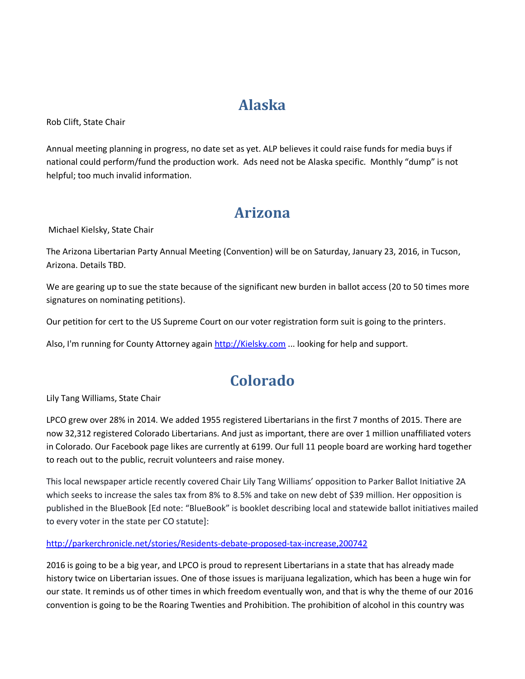## **Alaska**

Rob Clift, State Chair

Annual meeting planning in progress, no date set as yet. ALP believes it could raise funds for media buys if national could perform/fund the production work. Ads need not be Alaska specific. Monthly "dump" is not helpful; too much invalid information.

## **Arizona**

Michael Kielsky, State Chair

The Arizona Libertarian Party Annual Meeting (Convention) will be on Saturday, January 23, 2016, in Tucson, Arizona. Details TBD.

We are gearing up to sue the state because of the significant new burden in ballot access (20 to 50 times more signatures on nominating petitions).

Our petition for cert to the US Supreme Court on our voter registration form suit is going to the printers.

Also, I'm running for County Attorney again [http://Kielsky.com](http://kielsky.com/) ... looking for help and support.

#### **Colorado**

Lily Tang Williams, State Chair

LPCO grew over 28% in 2014. We added 1955 registered Libertarians in the first 7 months of 2015. There are now 32,312 registered Colorado Libertarians. And just as important, there are over 1 million unaffiliated voters in Colorado. Our Facebook page likes are currently at 6199. Our full 11 people board are working hard together to reach out to the public, recruit volunteers and raise money.

This local newspaper article recently covered Chair Lily Tang Williams' opposition to Parker Ballot Initiative 2A which seeks to increase the sales tax from 8% to 8.5% and take on new debt of \$39 million. Her opposition is published in the BlueBook [Ed note: "BlueBook" is booklet describing local and statewide ballot initiatives mailed to every voter in the state per CO statute]:

<http://parkerchronicle.net/stories/Residents-debate-proposed-tax-increase,200742>

2016 is going to be a big year, and LPCO is proud to represent Libertarians in a state that has already made history twice on Libertarian issues. One of those issues is marijuana legalization, which has been a huge win for our state. It reminds us of other times in which freedom eventually won, and that is why the theme of our 2016 convention is going to be the Roaring Twenties and Prohibition. The prohibition of alcohol in this country was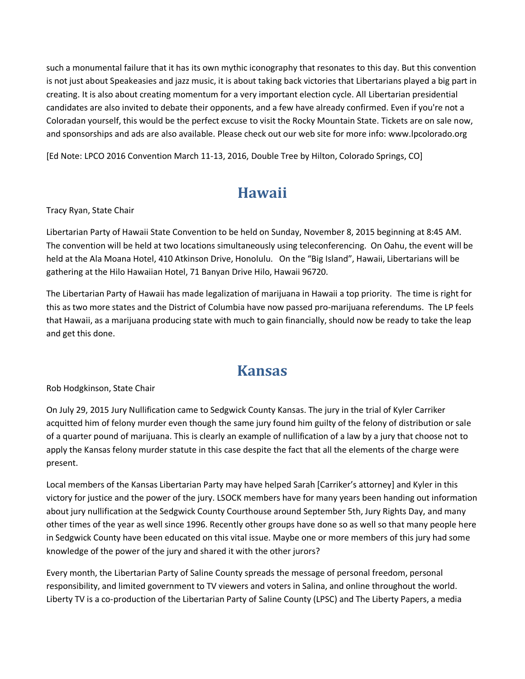such a monumental failure that it has its own mythic iconography that resonates to this day. But this convention is not just about Speakeasies and jazz music, it is about taking back victories that Libertarians played a big part in creating. It is also about creating momentum for a very important election cycle. All Libertarian presidential candidates are also invited to debate their opponents, and a few have already confirmed. Even if you're not a Coloradan yourself, this would be the perfect excuse to visit the Rocky Mountain State. Tickets are on sale now, and sponsorships and ads are also available. Please check out our web site for more info: www.lpcolorado.org

[Ed Note: LPCO 2016 Convention March 11-13, 2016, Double Tree by Hilton, Colorado Springs, CO]

#### **Hawaii**

Tracy Ryan, State Chair

Libertarian Party of Hawaii State Convention to be held on Sunday, November 8, 2015 beginning at 8:45 AM. The convention will be held at two locations simultaneously using teleconferencing. On Oahu, the event will be held at the Ala Moana Hotel, 410 Atkinson Drive, Honolulu. On the "Big Island", Hawaii, Libertarians will be gathering at the Hilo Hawaiian Hotel, 71 Banyan Drive Hilo, Hawaii 96720.

The Libertarian Party of Hawaii has made legalization of marijuana in Hawaii a top priority. The time is right for this as two more states and the District of Columbia have now passed pro-marijuana referendums. The LP feels that Hawaii, as a marijuana producing state with much to gain financially, should now be ready to take the leap and get this done.

#### **Kansas**

Rob Hodgkinson, State Chair

On July 29, 2015 Jury Nullification came to Sedgwick County Kansas. The jury in the trial of Kyler Carriker acquitted him of felony murder even though the same jury found him guilty of the felony of distribution or sale of a quarter pound of marijuana. This is clearly an example of nullification of a law by a jury that choose not to apply the Kansas felony murder statute in this case despite the fact that all the elements of the charge were present.

Local members of the Kansas Libertarian Party may have helped Sarah [Carriker's attorney] and Kyler in this victory for justice and the power of the jury. LSOCK members have for many years been handing out information about jury nullification at the Sedgwick County Courthouse around September 5th, Jury Rights Day, and many other times of the year as well since 1996. Recently other groups have done so as well so that many people here in Sedgwick County have been educated on this vital issue. Maybe one or more members of this jury had some knowledge of the power of the jury and shared it with the other jurors?

Every month, the Libertarian Party of Saline County spreads the message of personal freedom, personal responsibility, and limited government to TV viewers and voters in Salina, and online throughout the world. Liberty TV is a co-production of the Libertarian Party of Saline County (LPSC) and The Liberty Papers, a media